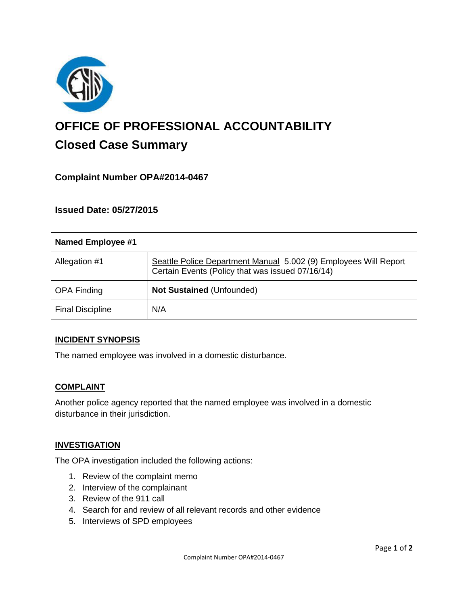

# **OFFICE OF PROFESSIONAL ACCOUNTABILITY Closed Case Summary**

# **Complaint Number OPA#2014-0467**

## **Issued Date: 05/27/2015**

| Named Employee #1       |                                                                                                                      |
|-------------------------|----------------------------------------------------------------------------------------------------------------------|
| Allegation #1           | Seattle Police Department Manual 5.002 (9) Employees Will Report<br>Certain Events (Policy that was issued 07/16/14) |
| <b>OPA Finding</b>      | <b>Not Sustained (Unfounded)</b>                                                                                     |
| <b>Final Discipline</b> | N/A                                                                                                                  |

## **INCIDENT SYNOPSIS**

The named employee was involved in a domestic disturbance.

## **COMPLAINT**

Another police agency reported that the named employee was involved in a domestic disturbance in their jurisdiction.

## **INVESTIGATION**

The OPA investigation included the following actions:

- 1. Review of the complaint memo
- 2. Interview of the complainant
- 3. Review of the 911 call
- 4. Search for and review of all relevant records and other evidence
- 5. Interviews of SPD employees